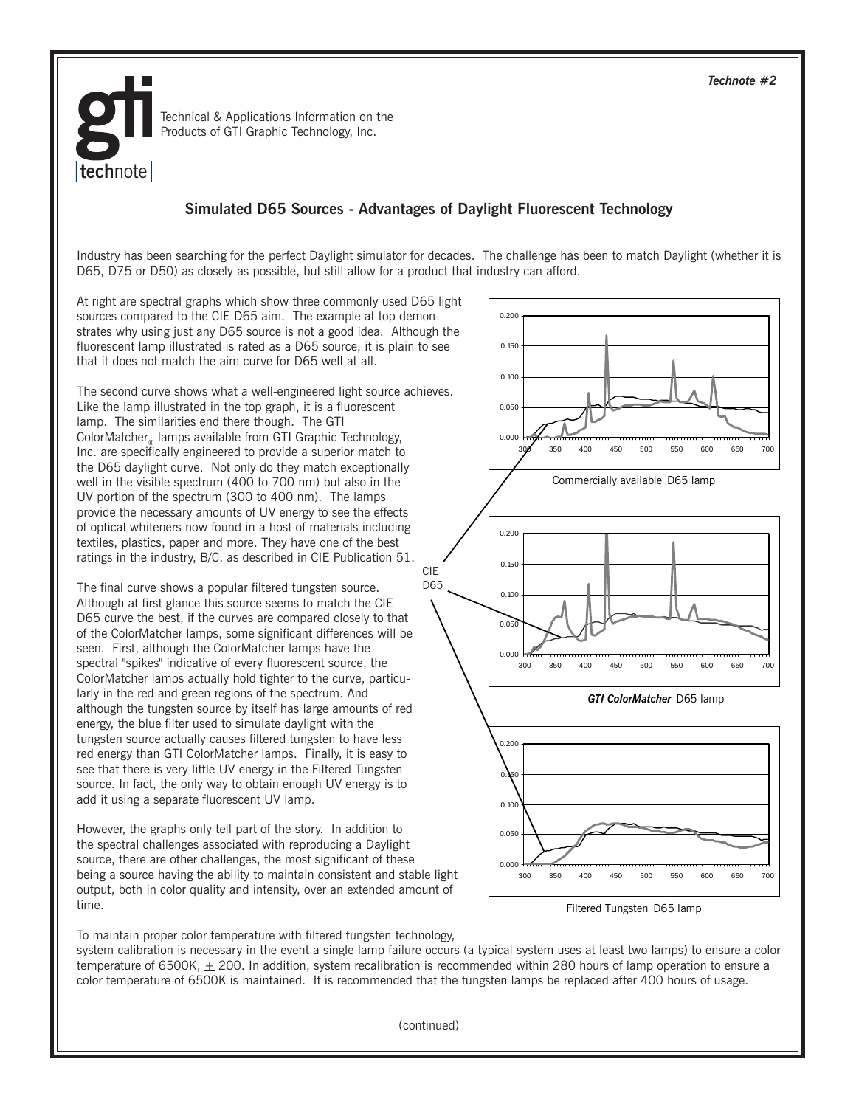

Technical & Applications Information on the Products of GTI Graphic Technology, Inc.

## **Simulated D65 Sources - Advantages of Daylight Fluorescent Technology**

Industry has been searching for the perfect Daylight simulator for decades. The challenge has been to match Daylight (whether it is D65, D75 or D50) as closely as possible, but still allow for a product that industry can afford.

D65

At right are spectral graphs which show three commonly used D65 light sources compared to the CIE D65 aim. The example at top demonstrates why using just any D65 source is not a good idea. Although the fluorescent lamp illustrated is rated as a D65 source, it is plain to see that it does not match the aim curve for D65 well at all.

The second curve shows what a well-engineered light source achieves. Like the lamp illustrated in the top graph, it is a fluorescent lamp. The similarities end there though. The GTI ColorMatcher<sub>®</sub> lamps available from GTI Graphic Technology, Inc. are specifically engineered to provide a superior match to the D65 daylight curve. Not only do they match exceptionally well in the visible spectrum (400 to 700 nm) but also in the UV portion of the spectrum (300 to 400 nm). The lamps provide the necessary amounts of UV energy to see the effects of optical whiteners now found in a host of materials including textiles, plastics, paper and more. They have one of the best ratings in the industry, B/C, as described in CIE Publication 51. CIE

The final curve shows a popular filtered tungsten source. Although at first glance this source seems to match the CIE D65 curve the best, if the curves are compared closely to that of the ColorMatcher lamps, some significant differences will be seen. First, although the ColorMatcher lamps have the spectral "spikes" indicative of every fluorescent source, the ColorMatcher lamps actually hold tighter to the curve, particularly in the red and green regions of the spectrum. And although the tungsten source by itself has large amounts of red energy, the blue filter used to simulate daylight with the tungsten source actually causes filtered tungsten to have less red energy than GTI ColorMatcher lamps. Finally, it is easy to see that there is very little UV energy in the Filtered Tungsten source. In fact, the only way to obtain enough UV energy is to add it using a separate fluorescent UV lamp.

However, the graphs only tell part of the story. In addition to the spectral challenges associated with reproducing a Daylight source, there are other challenges, the most significant of these being a source having the ability to maintain consistent and stable light output, both in color quality and intensity, over an extended amount of time.



Filtered Tungsten D65 lamp

To maintain proper color temperature with filtered tungsten technology,

system calibration is necessary in the event a single lamp failure occurs (a typical system uses at least two lamps) to ensure a color temperature of 6500K,  $\pm$  200. In addition, system recalibration is recommended within 280 hours of lamp operation to ensure a color temperature of 6500K is maintained. It is recommended that the tungsten lamps be replaced after 400 hours of usage.

(continued)